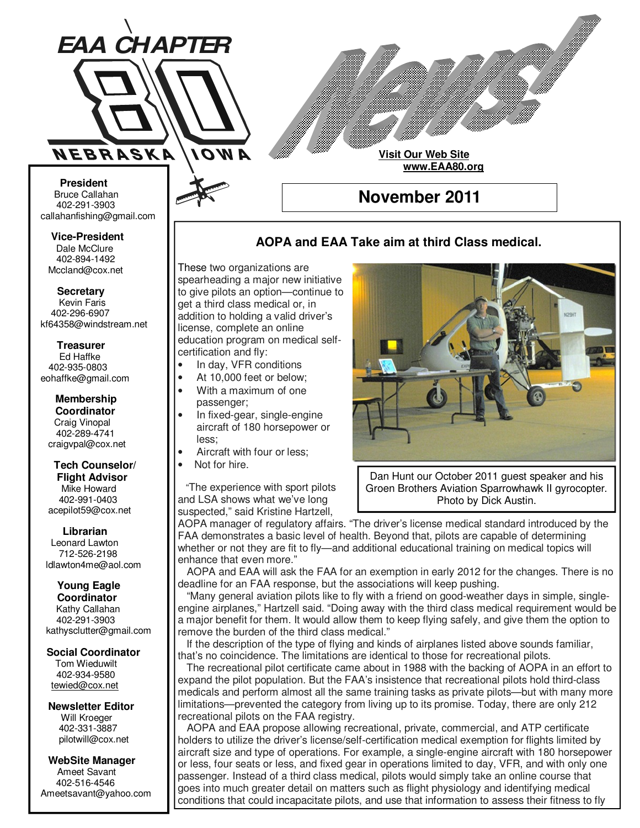

**Visit Our Web Site www.EAA80.org**

**November 2011** 

#### **AOPA and EAA Take aim at third Class medical.**

These two organizations are spearheading a major new initiative to give pilots an option—continue to get a third class medical or, in addition to holding a valid driver's license, complete an online education program on medical selfcertification and fly:

- In day, VFR conditions
- At 10,000 feet or below;
- With a maximum of one passenger;
- In fixed-gear, single-engine aircraft of 180 horsepower or less;
- Aircraft with four or less;
- Not for hire.

 "The experience with sport pilots and LSA shows what we've long suspected," said Kristine Hartzell,



Dan Hunt our October 2011 guest speaker and his Groen Brothers Aviation Sparrowhawk II gyrocopter. Photo by Dick Austin.

AOPA manager of regulatory affairs. "The driver's license medical standard introduced by the FAA demonstrates a basic level of health. Beyond that, pilots are capable of determining whether or not they are fit to fly—and additional educational training on medical topics will enhance that even more."

 AOPA and EAA will ask the FAA for an exemption in early 2012 for the changes. There is no deadline for an FAA response, but the associations will keep pushing.

 "Many general aviation pilots like to fly with a friend on good-weather days in simple, singleengine airplanes," Hartzell said. "Doing away with the third class medical requirement would be a major benefit for them. It would allow them to keep flying safely, and give them the option to remove the burden of the third class medical."

 If the description of the type of flying and kinds of airplanes listed above sounds familiar, that's no coincidence. The limitations are identical to those for recreational pilots.

 The recreational pilot certificate came about in 1988 with the backing of AOPA in an effort to expand the pilot population. But the FAA's insistence that recreational pilots hold third-class medicals and perform almost all the same training tasks as private pilots—but with many more limitations—prevented the category from living up to its promise. Today, there are only 212 recreational pilots on the FAA registry.

 AOPA and EAA propose allowing recreational, private, commercial, and ATP certificate holders to utilize the driver's license/self-certification medical exemption for flights limited by aircraft size and type of operations. For example, a single-engine aircraft with 180 horsepower or less, four seats or less, and fixed gear in operations limited to day, VFR, and with only one passenger. Instead of a third class medical, pilots would simply take an online course that goes into much greater detail on matters such as flight physiology and identifying medical conditions that could incapacitate pilots, and use that information to assess their fitness to fly

#### **Bruce Callahan** 402-291-3903 callahanfishing@gmail.com jrnuke@cox.net

 **President** 

Dale McClure 402-894-1492 Mccland@cox.net  **Vice-President** 

**Kevin Faris** 402-296-6907 kf64358@windstream.net  **Secretary** 

Ed Haffke 402-935-0803 eohaffke@gmail.com  **Treasurer** 

eohaffke@gmail.com **Membership Coordi- Coordinator**  Craig Vinopal Bob Cartwright 402-289-4741 craigvpal@cox.net  **Membership** 

#### robertc@novia.net **Tech Counselors & Flight Advisor** Mike Howard Bob Harvey 402-991-0403 acepilot59@cox.net  **Tech Counselor/**

Leonard Lawton 402-991-0403 712-526-2198 ldlawton4me@aol.com  **Librarian**

## **Librarian Young Eagle**

**Coordinator** Kathy Callahan ldlawton4me@aol.com 402-291-3903 kathysclutter@gmail.com

#### **Coordinator Social Coordinator**

Tom Wieduwilt 402-964-2645 402-934-9580 tewied@cox.net

**Newsletter Editor Newsletter Editor**  Will Kroeger Will Kroeger 402-331-3887 402-331-3887 pilotwill@cox.net

**WebSite Manager WebSite Manager**  Ameet Savant 402-516-4546 Ameet Savant<br>402-516-4546<br>Ameetsavant@yahoo.com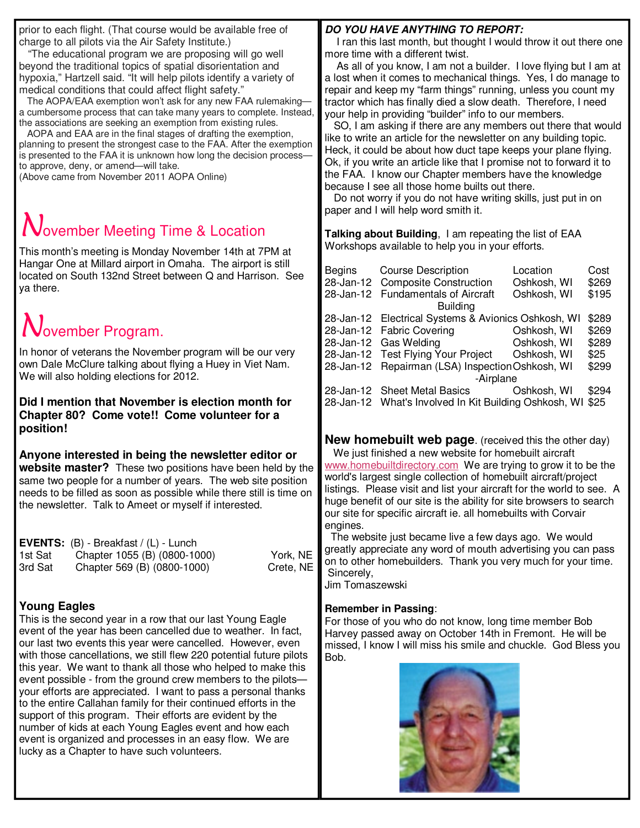prior to each flight. (That course would be available free of charge to all pilots via the Air Safety Institute.)

 "The educational program we are proposing will go well beyond the traditional topics of spatial disorientation and hypoxia," Hartzell said. "It will help pilots identify a variety of medical conditions that could affect flight safety."

 The AOPA/EAA exemption won't ask for any new FAA rulemaking a cumbersome process that can take many years to complete. Instead, the associations are seeking an exemption from existing rules.

 AOPA and EAA are in the final stages of drafting the exemption, planning to present the strongest case to the FAA. After the exemption is presented to the FAA it is unknown how long the decision processto approve, deny, or amend—will take.

(Above came from November 2011 AOPA Online)

## **Jovember Meeting Time & Location**

This month's meeting is Monday November 14th at 7PM at Hangar One at Millard airport in Omaha. The airport is still located on South 132nd Street between Q and Harrison. See ya there.

# November Program.

In honor of veterans the November program will be our very own Dale McClure talking about flying a Huey in Viet Nam. We will also holding elections for 2012.

**Did I mention that November is election month for Chapter 80? Come vote!! Come volunteer for a position!** 

**Anyone interested in being the newsletter editor or website master?** These two positions have been held by the same two people for a number of years. The web site position needs to be filled as soon as possible while there still is time on the newsletter. Talk to Ameet or myself if interested.

|         | <b>EVENTS:</b> $(B)$ - Breakfast / $(L)$ - Lunch |           |
|---------|--------------------------------------------------|-----------|
| 1st Sat | Chapter 1055 (B) (0800-1000)                     | York, NE  |
| 3rd Sat | Chapter 569 (B) (0800-1000)                      | Crete, NE |

### **Young Eagles**

This is the second year in a row that our last Young Eagle event of the year has been cancelled due to weather. In fact, our last two events this year were cancelled. However, even with those cancellations, we still flew 220 potential future pilots this year. We want to thank all those who helped to make this event possible - from the ground crew members to the pilots your efforts are appreciated. I want to pass a personal thanks to the entire Callahan family for their continued efforts in the support of this program. Their efforts are evident by the number of kids at each Young Eagles event and how each event is organized and processes in an easy flow. We are lucky as a Chapter to have such volunteers.

#### **DO YOU HAVE ANYTHING TO REPORT:**

 I ran this last month, but thought I would throw it out there one more time with a different twist.

 As all of you know, I am not a builder. I love flying but I am at a lost when it comes to mechanical things. Yes, I do manage to repair and keep my "farm things" running, unless you count my tractor which has finally died a slow death. Therefore, I need your help in providing "builder" info to our members.

 SO, I am asking if there are any members out there that would like to write an article for the newsletter on any building topic. Heck, it could be about how duct tape keeps your plane flying. Ok, if you write an article like that I promise not to forward it to the FAA. I know our Chapter members have the knowledge because I see all those home builts out there.

 Do not worry if you do not have writing skills, just put in on paper and I will help word smith it.

**Talking about Building**, I am repeating the list of EAA Workshops available to help you in your efforts.

| Begins Course Description<br>28-Jan-12 Composite Construction | Location<br>Oshkosh, WI | Cost<br>\$269 |
|---------------------------------------------------------------|-------------------------|---------------|
| 28-Jan-12 Fundamentals of Aircraft<br><b>Building</b>         | Oshkosh, WI             | \$195         |
| 28-Jan-12 Electrical Systems & Avionics Oshkosh, WI           |                         | \$289         |
| 28-Jan-12 Fabric Covering                                     | Oshkosh, WI             | \$269         |
| 28-Jan-12 Gas Welding                                         | Oshkosh, WI             | \$289         |
| 28-Jan-12 Test Flying Your Project Oshkosh, WI                |                         | \$25          |
| 28-Jan-12 Repairman (LSA) Inspection Oshkosh, WI              |                         | \$299         |
| -Airplane                                                     |                         |               |
| 28-Jan-12 Sheet Metal Basics                                  | Oshkosh, WI             | \$294         |
| 28-Jan-12 What's Involved In Kit Building Oshkosh, WI         |                         | \$25          |

**New homebuilt web page**. (received this the other day) We just finished a new website for homebuilt aircraft www.homebuiltdirectory.com We are trying to grow it to be the world's largest single collection of homebuilt aircraft/project listings. Please visit and list your aircraft for the world to see. A huge benefit of our site is the ability for site browsers to search our site for specific aircraft ie. all homebuilts with Corvair engines.

 The website just became live a few days ago. We would greatly appreciate any word of mouth advertising you can pass on to other homebuilders. Thank you very much for your time. Sincerely,

Jim Tomaszewski

#### **Remember in Passing**:

For those of you who do not know, long time member Bob Harvey passed away on October 14th in Fremont. He will be missed, I know I will miss his smile and chuckle. God Bless you Bob.

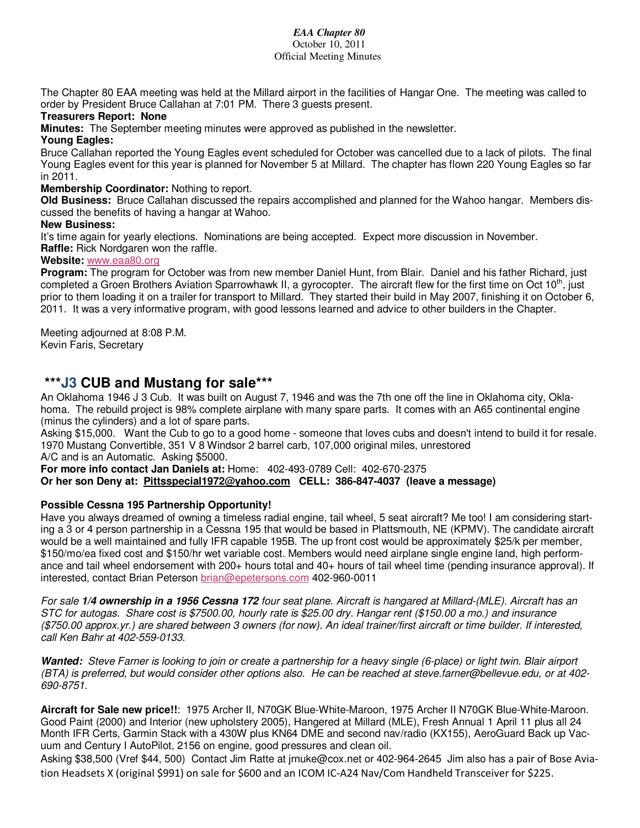#### *EAA Chapter 80*  October 10, 2011

Official Meeting Minutes

The Chapter 80 EAA meeting was held at the Millard airport in the facilities of Hangar One. The meeting was called to order by President Bruce Callahan at 7:01 PM. There 3 guests present.

#### **Treasurers Report: None**

**Minutes:** The September meeting minutes were approved as published in the newsletter.

#### **Young Eagles:**

Bruce Callahan reported the Young Eagles event scheduled for October was cancelled due to a lack of pilots. The final Young Eagles event for this year is planned for November 5 at Millard. The chapter has flown 220 Young Eagles so far in 2011.

#### **Membership Coordinator:** Nothing to report.

**Old Business:** Bruce Callahan discussed the repairs accomplished and planned for the Wahoo hangar. Members discussed the benefits of having a hangar at Wahoo.

#### **New Business:**

It's time again for yearly elections. Nominations are being accepted. Expect more discussion in November. **Raffle:** Rick Nordgaren won the raffle.

#### **Website:** www.eaa80.org

**Program:** The program for October was from new member Daniel Hunt, from Blair. Daniel and his father Richard, just completed a Groen Brothers Aviation Sparrowhawk II, a gyrocopter. The aircraft flew for the first time on Oct  $10<sup>th</sup>$ , just prior to them loading it on a trailer for transport to Millard. They started their build in May 2007, finishing it on October 6, 2011. It was a very informative program, with good lessons learned and advice to other builders in the Chapter.

Meeting adjourned at 8:08 P.M. Kevin Faris, Secretary

#### **\*\*\*J3 CUB and Mustang for sale\*\*\***

An Oklahoma 1946 J 3 Cub. It was built on August 7, 1946 and was the 7th one off the line in Oklahoma city, Oklahoma. The rebuild project is 98% complete airplane with many spare parts. It comes with an A65 continental engine (minus the cylinders) and a lot of spare parts.

Asking \$15,000. Want the Cub to go to a good home - someone that loves cubs and doesn't intend to build it for resale. 1970 Mustang Convertible, 351 V 8 Windsor 2 barrel carb, 107,000 original miles, unrestored

A/C and is an Automatic. Asking \$5000.

**For more info contact Jan Daniels at:** Home: 402-493-0789 Cell: 402-670-2375 **Or her son Deny at: Pittsspecial1972@yahoo.com CELL: 386-847-4037 (leave a message)**

#### **Possible Cessna 195 Partnership Opportunity!**

Have you always dreamed of owning a timeless radial engine, tail wheel, 5 seat aircraft? Me too! I am considering starting a 3 or 4 person partnership in a Cessna 195 that would be based in Plattsmouth, NE (KPMV). The candidate aircraft would be a well maintained and fully IFR capable 195B. The up front cost would be approximately \$25/k per member, \$150/mo/ea fixed cost and \$150/hr wet variable cost. Members would need airplane single engine land, high performance and tail wheel endorsement with 200+ hours total and  $40+$  hours of tail wheel time (pending insurance approval). If interested, contact Brian Peterson brian@epetersons.com 402-960-0011

For sale **1/4 ownership in a 1956 Cessna 172** four seat plane. Aircraft is hangared at Millard-(MLE). Aircraft has an STC for autogas. Share cost is \$7500.00, hourly rate is \$25.00 dry. Hangar rent (\$150.00 a mo.) and insurance (\$750.00 approx.yr.) are shared between 3 owners (for now). An ideal trainer/first aircraft or time builder. If interested, call Ken Bahr at 402-559-0133.

**Wanted:** Steve Farner is looking to join or create a partnership for a heavy single (6-place) or light twin. Blair airport (BTA) is preferred, but would consider other options also. He can be reached at steve.farner@bellevue.edu, or at 402- 690-8751.

**Aircraft for Sale new price!!**: 1975 Archer II, N70GK Blue-White-Maroon, 1975 Archer II N70GK Blue-White-Maroon. Good Paint (2000) and Interior (new upholstery 2005), Hangered at Millard (MLE), Fresh Annual 1 April 11 plus all 24 Month IFR Certs, Garmin Stack with a 430W plus KN64 DME and second nav/radio (KX155), AeroGuard Back up Vacuum and Century I AutoPilot, 2156 on engine, good pressures and clean oil.

Asking \$38,500 (Vref \$44, 500) Contact Jim Ratte at jrnuke@cox.net or 402-964-2645 Jim also has a pair of Bose Aviation Headsets X (original \$991) on sale for \$600 and an ICOM IC-A24 Nav/Com Handheld Transceiver for \$225.